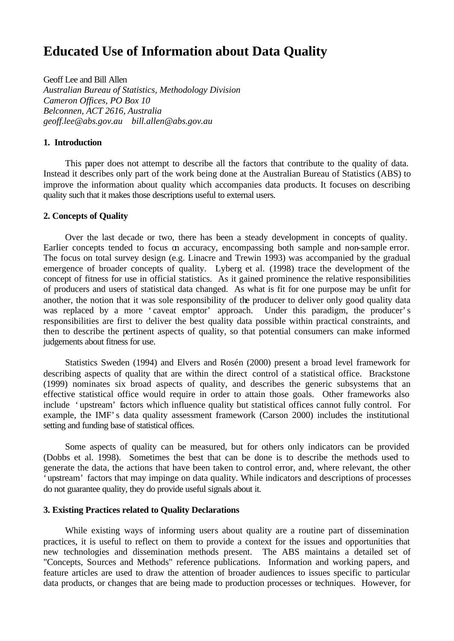# **Educated Use of Information about Data Quality**

Geoff Lee and Bill Allen *Australian Bureau of Statistics, Methodology Division Cameron Offices, PO Box 10 Belconnen, ACT 2616, Australia geoff.lee@abs.gov.au bill.allen@abs.gov.au*

## **1. Introduction**

This paper does not attempt to describe all the factors that contribute to the quality of data. Instead it describes only part of the work being done at the Australian Bureau of Statistics (ABS) to improve the information about quality which accompanies data products. It focuses on describing quality such that it makes those descriptions useful to external users.

# **2. Concepts of Quality**

Over the last decade or two, there has been a steady development in concepts of quality. Earlier concepts tended to focus on accuracy, encompassing both sample and non-sample error. The focus on total survey design (e.g. Linacre and Trewin 1993) was accompanied by the gradual emergence of broader concepts of quality. Lyberg et al. (1998) trace the development of the concept of fitness for use in official statistics. As it gained prominence the relative responsibilities of producers and users of statistical data changed. As what is fit for one purpose may be unfit for another, the notion that it was sole responsibility of the producer to deliver only good quality data was replaced by a more 'caveat emptor' approach. Under this paradigm, the producer's responsibilities are first to deliver the best quality data possible within practical constraints, and then to describe the pertinent aspects of quality, so that potential consumers can make informed judgements about fitness for use.

Statistics Sweden (1994) and Elvers and Rosén (2000) present a broad level framework for describing aspects of quality that are within the direct control of a statistical office. Brackstone (1999) nominates six broad aspects of quality, and describes the generic subsystems that an effective statistical office would require in order to attain those goals. Other frameworks also include 'upstream' factors which influence quality but statistical offices cannot fully control. For example, the IMF's data quality assessment framework (Carson 2000) includes the institutional setting and funding base of statistical offices.

Some aspects of quality can be measured, but for others only indicators can be provided (Dobbs et al. 1998). Sometimes the best that can be done is to describe the methods used to generate the data, the actions that have been taken to control error, and, where relevant, the other 'upstream' factors that may impinge on data quality. While indicators and descriptions of processes do not guarantee quality, they do provide useful signals about it.

### **3. Existing Practices related to Quality Declarations**

While existing ways of informing users about quality are a routine part of dissemination practices, it is useful to reflect on them to provide a context for the issues and opportunities that new technologies and dissemination methods present. The ABS maintains a detailed set of "Concepts, Sources and Methods" reference publications. Information and working papers, and feature articles are used to draw the attention of broader audiences to issues specific to particular data products, or changes that are being made to production processes or techniques. However, for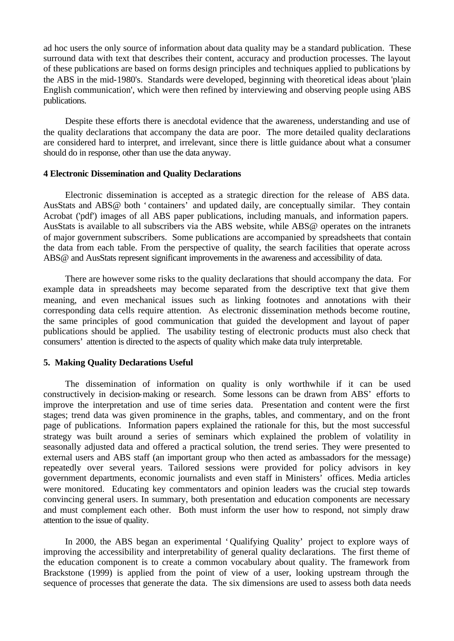ad hoc users the only source of information about data quality may be a standard publication. These surround data with text that describes their content, accuracy and production processes. The layout of these publications are based on forms design principles and techniques applied to publications by the ABS in the mid-1980's. Standards were developed, beginning with theoretical ideas about 'plain English communication', which were then refined by interviewing and observing people using ABS publications.

Despite these efforts there is anecdotal evidence that the awareness, understanding and use of the quality declarations that accompany the data are poor. The more detailed quality declarations are considered hard to interpret, and irrelevant, since there is little guidance about what a consumer should do in response, other than use the data anyway.

# **4 Electronic Dissemination and Quality Declarations**

Electronic dissemination is accepted as a strategic direction for the release of ABS data. AusStats and ABS@ both 'containers' and updated daily, are conceptually similar. They contain Acrobat ('pdf') images of all ABS paper publications, including manuals, and information papers. AusStats is available to all subscribers via the ABS website, while ABS@ operates on the intranets of major government subscribers. Some publications are accompanied by spreadsheets that contain the data from each table. From the perspective of quality, the search facilities that operate across ABS@ and AusStats represent significant improvements in the awareness and accessibility of data.

There are however some risks to the quality declarations that should accompany the data. For example data in spreadsheets may become separated from the descriptive text that give them meaning, and even mechanical issues such as linking footnotes and annotations with their corresponding data cells require attention. As electronic dissemination methods become routine, the same principles of good communication that guided the development and layout of paper publications should be applied. The usability testing of electronic products must also check that consumers' attention is directed to the aspects of quality which make data truly interpretable.

#### **5. Making Quality Declarations Useful**

The dissemination of information on quality is only worthwhile if it can be used constructively in decision-making or research. Some lessons can be drawn from ABS' efforts to improve the interpretation and use of time series data. Presentation and content were the first stages; trend data was given prominence in the graphs, tables, and commentary, and on the front page of publications. Information papers explained the rationale for this, but the most successful strategy was built around a series of seminars which explained the problem of volatility in seasonally adjusted data and offered a practical solution, the trend series. They were presented to external users and ABS staff (an important group who then acted as ambassadors for the message) repeatedly over several years. Tailored sessions were provided for policy advisors in key government departments, economic journalists and even staff in Ministers' offices. Media articles were monitored. Educating key commentators and opinion leaders was the crucial step towards convincing general users. In summary, both presentation and education components are necessary and must complement each other. Both must inform the user how to respond, not simply draw attention to the issue of quality.

In 2000, the ABS began an experimental 'Qualifying Quality' project to explore ways of improving the accessibility and interpretability of general quality declarations. The first theme of the education component is to create a common vocabulary about quality. The framework from Brackstone (1999) is applied from the point of view of a user, looking upstream through the sequence of processes that generate the data. The six dimensions are used to assess both data needs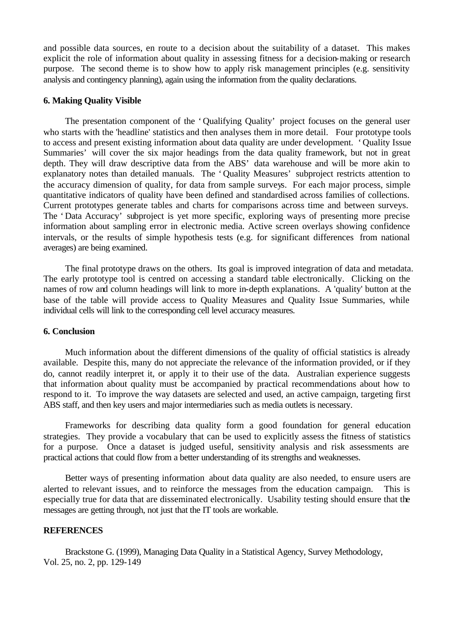and possible data sources, en route to a decision about the suitability of a dataset. This makes explicit the role of information about quality in assessing fitness for a decision-making or research purpose. The second theme is to show how to apply risk management principles (e.g. sensitivity analysis and contingency planning), again using the information from the quality declarations.

#### **6. Making Quality Visible**

The presentation component of the 'Qualifying Quality' project focuses on the general user who starts with the 'headline' statistics and then analyses them in more detail. Four prototype tools to access and present existing information about data quality are under development. 'Quality Issue Summaries' will cover the six major headings from the data quality framework, but not in great depth. They will draw descriptive data from the ABS' data warehouse and will be more akin to explanatory notes than detailed manuals. The 'Quality Measures' subproject restricts attention to the accuracy dimension of quality, for data from sample surveys. For each major process, simple quantitative indicators of quality have been defined and standardised across families of collections. Current prototypes generate tables and charts for comparisons across time and between surveys. The 'Data Accuracy' subproject is yet more specific, exploring ways of presenting more precise information about sampling error in electronic media. Active screen overlays showing confidence intervals, or the results of simple hypothesis tests (e.g. for significant differences from national averages) are being examined.

The final prototype draws on the others. Its goal is improved integration of data and metadata. The early prototype tool is centred on accessing a standard table electronically. Clicking on the names of row and column headings will link to more in-depth explanations. A 'quality' button at the base of the table will provide access to Quality Measures and Quality Issue Summaries, while individual cells will link to the corresponding cell level accuracy measures.

#### **6. Conclusion**

Much information about the different dimensions of the quality of official statistics is already available. Despite this, many do not appreciate the relevance of the information provided, or if they do, cannot readily interpret it, or apply it to their use of the data. Australian experience suggests that information about quality must be accompanied by practical recommendations about how to respond to it. To improve the way datasets are selected and used, an active campaign, targeting first ABS staff, and then key users and major intermediaries such as media outlets is necessary.

Frameworks for describing data quality form a good foundation for general education strategies. They provide a vocabulary that can be used to explicitly assess the fitness of statistics for a purpose. Once a dataset is judged useful, sensitivity analysis and risk assessments are practical actions that could flow from a better understanding of its strengths and weaknesses.

Better ways of presenting information about data quality are also needed, to ensure users are alerted to relevant issues, and to reinforce the messages from the education campaign. This is especially true for data that are disseminated electronically. Usability testing should ensure that the messages are getting through, not just that the IT tools are workable.

# **REFERENCES**

Brackstone G. (1999), Managing Data Quality in a Statistical Agency, Survey Methodology, Vol. 25, no. 2, pp. 129-149